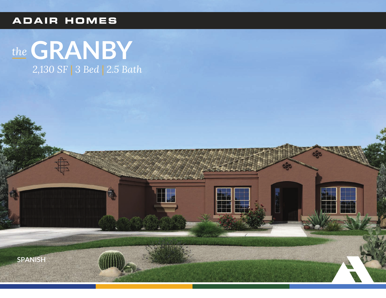### **ADAIR HOMES**

# the GRANBY 2,130 SF | 3 Bed | 2.5 Bath

E